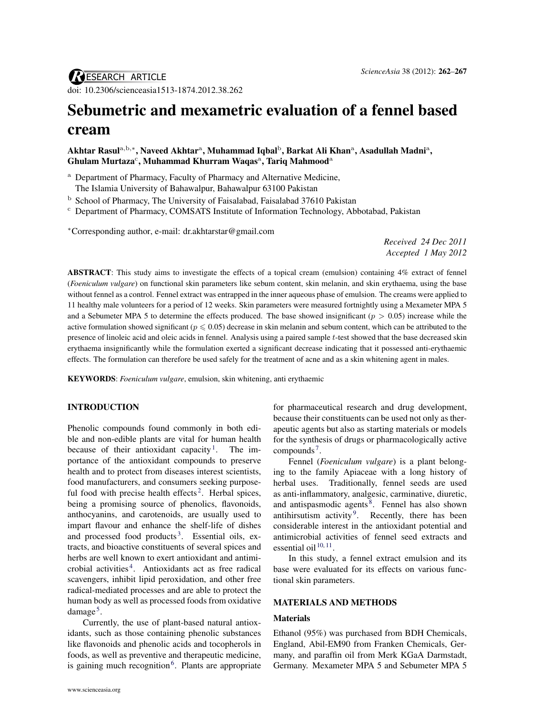# Sebumetric and mexametric evaluation of a fennel based cream

# Akhtar Rasul $\rm{^{a,b,*}},$  Naveed Akhtar $\rm{^a},$  Muhammad Iqbal $\rm{^b},$  Barkat Ali Khan $\rm{^a},$  Asadullah Madni $\rm{^a},$  $G$ hulam Murtaza $^{\rm c}$ , Muhammad Khurram Waqas $^{\rm a}$ , Tariq Mahmood $^{\rm a}$

- <sup>a</sup> Department of Pharmacy, Faculty of Pharmacy and Alternative Medicine, The Islamia University of Bahawalpur, Bahawalpur 63100 Pakistan
- <sup>b</sup> School of Pharmacy, The University of Faisalabad, Faisalabad 37610 Pakistan
- <sup>c</sup> Department of Pharmacy, COMSATS Institute of Information Technology, Abbotabad, Pakistan

<sup>∗</sup>Corresponding author, e-mail: [dr.akhtarstar@gmail.com](mailto:dr.akhtarstar@gmail.com)

*Received 24 Dec 2011 Accepted 1 May 2012*

ABSTRACT: This study aims to investigate the effects of a topical cream (emulsion) containing 4% extract of fennel (*Foeniculum vulgare*) on functional skin parameters like sebum content, skin melanin, and skin erythaema, using the base without fennel as a control. Fennel extract was entrapped in the inner aqueous phase of emulsion. The creams were applied to 11 healthy male volunteers for a period of 12 weeks. Skin parameters were measured fortnightly using a Mexameter MPA 5 and a Sebumeter MPA 5 to determine the effects produced. The base showed insignificant  $(p > 0.05)$  increase while the active formulation showed significant ( $p \le 0.05$ ) decrease in skin melanin and sebum content, which can be attributed to the presence of linoleic acid and oleic acids in fennel. Analysis using a paired sample t-test showed that the base decreased skin erythaema insignificantly while the formulation exerted a significant decrease indicating that it possessed anti-erythaemic effects. The formulation can therefore be used safely for the treatment of acne and as a skin whitening agent in males.

KEYWORDS: *Foeniculum vulgare*, emulsion, skin whitening, anti erythaemic

# INTRODUCTION

Phenolic compounds found commonly in both edible and non-edible plants are vital for human health because of their antioxidant capacity<sup>[1](#page-4-1)</sup>. The importance of the antioxidant compounds to preserve health and to protect from diseases interest scientists, food manufacturers, and consumers seeking purpose-ful food with precise health effects<sup>[2](#page-4-2)</sup>. Herbal spices, being a promising source of phenolics, flavonoids, anthocyanins, and carotenoids, are usually used to impart flavour and enhance the shelf-life of dishes and processed food products<sup>[3](#page-4-3)</sup>. Essential oils, extracts, and bioactive constituents of several spices and herbs are well known to exert antioxidant and antimicrobial activities [4](#page-4-4) . Antioxidants act as free radical scavengers, inhibit lipid peroxidation, and other free radical-mediated processes and are able to protect the human body as well as processed foods from oxidative damage<sup>[5](#page-5-0)</sup>.

Currently, the use of plant-based natural antioxidants, such as those containing phenolic substances like flavonoids and phenolic acids and tocopherols in foods, as well as preventive and therapeutic medicine, is gaining much recognition<sup>[6](#page-5-1)</sup>. Plants are appropriate for pharmaceutical research and drug development, because their constituents can be used not only as therapeutic agents but also as starting materials or models for the synthesis of drugs or pharmacologically active compounds<sup>[7](#page-5-2)</sup>.

Fennel (*Foeniculum vulgare*) is a plant belonging to the family Apiaceae with a long history of herbal uses. Traditionally, fennel seeds are used as anti-inflammatory, analgesic, carminative, diuretic, and antispasmodic agents<sup>[8](#page-5-3)</sup>. Fennel has also shown antihirsutism activity<sup>[9](#page-5-4)</sup>. Recently, there has been considerable interest in the antioxidant potential and antimicrobial activities of fennel seed extracts and essential oil  $10, 11$  $10, 11$  $10, 11$ .

In this study, a fennel extract emulsion and its base were evaluated for its effects on various functional skin parameters.

#### MATERIALS AND METHODS

#### Materials

Ethanol (95%) was purchased from BDH Chemicals, England, Abil-EM90 from Franken Chemicals, Germany, and paraffin oil from Merk KGaA Darmstadt, Germany. Mexameter MPA 5 and Sebumeter MPA 5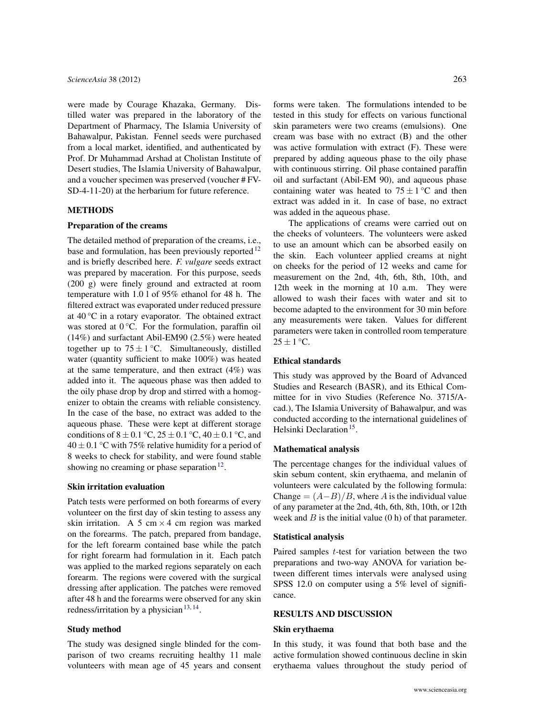were made by Courage Khazaka, Germany. Distilled water was prepared in the laboratory of the Department of Pharmacy, The Islamia University of Bahawalpur, Pakistan. Fennel seeds were purchased from a local market, identified, and authenticated by Prof. Dr Muhammad Arshad at Cholistan Institute of Desert studies, The Islamia University of Bahawalpur, and a voucher specimen was preserved (voucher # FV-SD-4-11-20) at the herbarium for future reference.

## METHODS

#### Preparation of the creams

The detailed method of preparation of the creams, i.e., base and formulation, has been previously reported<sup>[12](#page-5-7)</sup> and is briefly described here. *F. vulgare* seeds extract was prepared by maceration. For this purpose, seeds (200 g) were finely ground and extracted at room temperature with 1.0 l of 95% ethanol for 48 h. The filtered extract was evaporated under reduced pressure at 40 °C in a rotary evaporator. The obtained extract was stored at 0 °C. For the formulation, paraffin oil (14%) and surfactant Abil-EM90 (2.5%) were heated together up to  $75 \pm 1$  °C. Simultaneously, distilled water (quantity sufficient to make 100%) was heated at the same temperature, and then extract (4%) was added into it. The aqueous phase was then added to the oily phase drop by drop and stirred with a homogenizer to obtain the creams with reliable consistency. In the case of the base, no extract was added to the aqueous phase. These were kept at different storage conditions of  $8 \pm 0.1$  °C,  $25 \pm 0.1$  °C,  $40 \pm 0.1$  °C, and  $40 \pm 0.1$  °C with 75% relative humidity for a period of 8 weeks to check for stability, and were found stable showing no creaming or phase separation  $12$ .

#### Skin irritation evaluation

Patch tests were performed on both forearms of every volunteer on the first day of skin testing to assess any skin irritation. A 5 cm  $\times$  4 cm region was marked on the forearms. The patch, prepared from bandage, for the left forearm contained base while the patch for right forearm had formulation in it. Each patch was applied to the marked regions separately on each forearm. The regions were covered with the surgical dressing after application. The patches were removed after 48 h and the forearms were observed for any skin redness/irritation by a physician  $13, 14$  $13, 14$  $13, 14$ .

# Study method

The study was designed single blinded for the comparison of two creams recruiting healthy 11 male volunteers with mean age of 45 years and consent forms were taken. The formulations intended to be tested in this study for effects on various functional skin parameters were two creams (emulsions). One cream was base with no extract (B) and the other was active formulation with extract (F). These were prepared by adding aqueous phase to the oily phase with continuous stirring. Oil phase contained paraffin oil and surfactant (Abil-EM 90), and aqueous phase containing water was heated to  $75 \pm 1$  °C and then extract was added in it. In case of base, no extract was added in the aqueous phase.

The applications of creams were carried out on the cheeks of volunteers. The volunteers were asked to use an amount which can be absorbed easily on the skin. Each volunteer applied creams at night on cheeks for the period of 12 weeks and came for measurement on the 2nd, 4th, 6th, 8th, 10th, and 12th week in the morning at 10 a.m. They were allowed to wash their faces with water and sit to become adapted to the environment for 30 min before any measurements were taken. Values for different parameters were taken in controlled room temperature  $25 \pm 1$  °C.

# Ethical standards

This study was approved by the Board of Advanced Studies and Research (BASR), and its Ethical Committee for in vivo Studies (Reference No. 3715/Acad.), The Islamia University of Bahawalpur, and was conducted according to the international guidelines of Helsinki Declaration<sup>[15](#page-5-10)</sup>.

#### Mathematical analysis

The percentage changes for the individual values of skin sebum content, skin erythaema, and melanin of volunteers were calculated by the following formula: Change =  $(A-B)/B$ , where A is the individual value of any parameter at the 2nd, 4th, 6th, 8th, 10th, or 12th week and  $B$  is the initial value  $(0 h)$  of that parameter.

#### Statistical analysis

Paired samples t-test for variation between the two preparations and two-way ANOVA for variation between different times intervals were analysed using SPSS 12.0 on computer using a 5% level of significance.

## RESULTS AND DISCUSSION

#### Skin erythaema

In this study, it was found that both base and the active formulation showed continuous decline in skin erythaema values throughout the study period of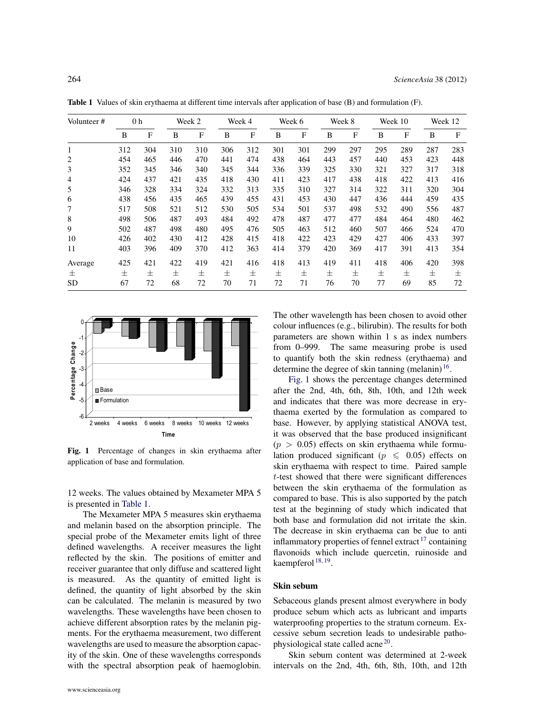| Volunteer# | 0 <sub>h</sub> |     | Week 2 |     | Week 4 |     | Week 6 |     | Week 8 |     | Week 10 |     | Week 12 |     |
|------------|----------------|-----|--------|-----|--------|-----|--------|-----|--------|-----|---------|-----|---------|-----|
|            | B              | F   | B      | F   | B      | F   | B      | F   | B      | F   | B       | F   | B       | F   |
|            | 312            | 304 | 310    | 310 | 306    | 312 | 301    | 301 | 299    | 297 | 295     | 289 | 287     | 283 |
| 2          | 454            | 465 | 446    | 470 | 441    | 474 | 438    | 464 | 443    | 457 | 440     | 453 | 423     | 448 |
| 3          | 352            | 345 | 346    | 340 | 345    | 344 | 336    | 339 | 325    | 330 | 321     | 327 | 317     | 318 |
| 4          | 424            | 437 | 421    | 435 | 418    | 430 | 411    | 423 | 417    | 438 | 418     | 422 | 413     | 416 |
|            | 346            | 328 | 334    | 324 | 332    | 313 | 335    | 310 | 327    | 314 | 322     | 311 | 320     | 304 |
| 6          | 438            | 456 | 435    | 465 | 439    | 455 | 431    | 453 | 430    | 447 | 436     | 444 | 459     | 435 |
|            | 517            | 508 | 521    | 512 | 530    | 505 | 534    | 501 | 537    | 498 | 532     | 490 | 556     | 487 |
| 8          | 498            | 506 | 487    | 493 | 484    | 492 | 478    | 487 | 477    | 477 | 484     | 464 | 480     | 462 |
| 9          | 502            | 487 | 498    | 480 | 495    | 476 | 505    | 463 | 512    | 460 | 507     | 466 | 524     | 470 |

10 426 402 430 412 428 415 418 422 423 429 427 406 433 397 11 403 396 409 370 412 363 414 379 420 369 417 391 413 354 Average 425 421 422 419 421 416 418 413 419 411 418 406 420 398 ± ± ± ± ± ± ± ± ± ± ± ± ± ± ± SD 67 72 68 72 70 71 72 71 76 70 77 69 85 72

<span id="page-2-0"></span>Table 1 Values of skin erythaema at different time intervals after application of base (B) and formulation (F).

<span id="page-2-1"></span>

Fig. 1 Percentage of changes in skin erythaema after application of base and formulation.

12 weeks. The values obtained by Mexameter MPA 5 is presented in [Table 1.](#page-2-0)

The Mexameter MPA 5 measures skin erythaema and melanin based on the absorption principle. The special probe of the Mexameter emits light of three defined wavelengths. A receiver measures the light reflected by the skin. The positions of emitter and receiver guarantee that only diffuse and scattered light is measured. As the quantity of emitted light is defined, the quantity of light absorbed by the skin can be calculated. The melanin is measured by two wavelengths. These wavelengths have been chosen to achieve different absorption rates by the melanin pigments. For the erythaema measurement, two different wavelengths are used to measure the absorption capacity of the skin. One of these wavelengths corresponds with the spectral absorption peak of haemoglobin. The other wavelength has been chosen to avoid other colour influences (e.g., bilirubin). The results for both parameters are shown within 1 s as index numbers from 0–999. The same measuring probe is used to quantify both the skin redness (erythaema) and determine the degree of skin tanning (melanin) $16$ .

[Fig. 1](#page-2-1) shows the percentage changes determined after the 2nd, 4th, 6th, 8th, 10th, and 12th week and indicates that there was more decrease in erythaema exerted by the formulation as compared to base. However, by applying statistical ANOVA test, it was observed that the base produced insignificant  $(p > 0.05)$  effects on skin erythaema while formulation produced significant ( $p \le 0.05$ ) effects on skin erythaema with respect to time. Paired sample t-test showed that there were significant differences between the skin erythaema of the formulation as compared to base. This is also supported by the patch test at the beginning of study which indicated that both base and formulation did not irritate the skin. The decrease in skin erythaema can be due to anti inflammatory properties of fennel extract  $17$  containing flavonoids which include quercetin, ruinoside and kaempferol <sup>[18,](#page-5-13) [19](#page-5-14)</sup>.

# Skin sebum

Sebaceous glands present almost everywhere in body produce sebum which acts as lubricant and imparts waterproofing properties to the stratum corneum. Excessive sebum secretion leads to undesirable patho-physiological state called acne<sup>[20](#page-5-15)</sup>.

Skin sebum content was determined at 2-week intervals on the 2nd, 4th, 6th, 8th, 10th, and 12th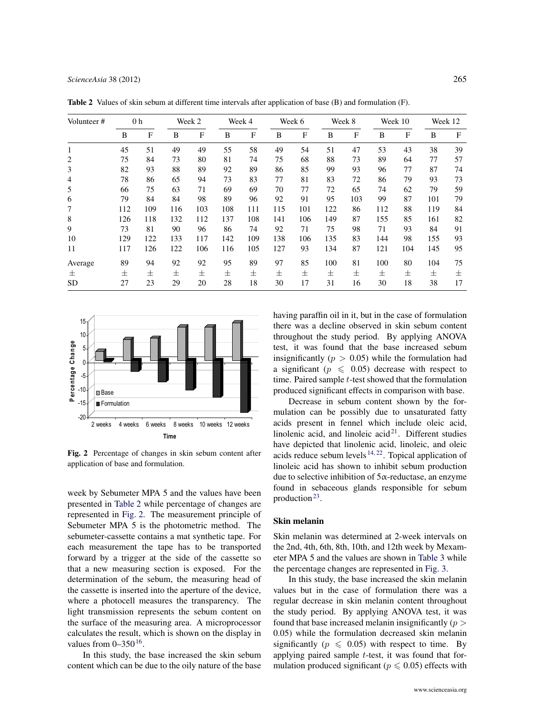| Volunteer#     | 0 <sub>h</sub> |     | Week 2 |              | Week 4 |     | Week 6 |     | Week 8 |     | Week 10 |     | Week 12 |    |
|----------------|----------------|-----|--------|--------------|--------|-----|--------|-----|--------|-----|---------|-----|---------|----|
|                | B              | F   | B      | $\mathbf{F}$ | B      | F   | B      | F   | B      | F   | B       | F   | B       | F  |
| 1              | 45             | 51  | 49     | 49           | 55     | 58  | 49     | 54  | 51     | 47  | 53      | 43  | 38      | 39 |
| $\overline{2}$ | 75             | 84  | 73     | 80           | 81     | 74  | 75     | 68  | 88     | 73  | 89      | 64  | 77      | 57 |
| 3              | 82             | 93  | 88     | 89           | 92     | 89  | 86     | 85  | 99     | 93  | 96      | 77  | 87      | 74 |
| $\overline{4}$ | 78             | 86  | 65     | 94           | 73     | 83  | 77     | 81  | 83     | 72  | 86      | 79  | 93      | 73 |
| 5              | 66             | 75  | 63     | 71           | 69     | 69  | 70     | 77  | 72     | 65  | 74      | 62  | 79      | 59 |
| 6              | 79             | 84  | 84     | 98           | 89     | 96  | 92     | 91  | 95     | 103 | 99      | 87  | 101     | 79 |
| 7              | 112            | 109 | 116    | 103          | 108    | 111 | 115    | 101 | 122    | 86  | 112     | 88  | 119     | 84 |
| 8              | 126            | 118 | 132    | 112          | 137    | 108 | 141    | 106 | 149    | 87  | 155     | 85  | 161     | 82 |
| 9              | 73             | 81  | 90     | 96           | 86     | 74  | 92     | 71  | 75     | 98  | 71      | 93  | 84      | 91 |
| 10             | 129            | 122 | 133    | 117          | 142    | 109 | 138    | 106 | 135    | 83  | 144     | 98  | 155     | 93 |
| 11             | 117            | 126 | 122    | 106          | 116    | 105 | 127    | 93  | 134    | 87  | 121     | 104 | 145     | 95 |
| Average        | 89             | 94  | 92     | 92           | 95     | 89  | 97     | 85  | 100    | 81  | 100     | 80  | 104     | 75 |
| 士              | 士              | 士   | $\pm$  | 士            | 士      | 士   | 士      | 士   | 士      | 士   | 士       | 士   | 士       | 士  |
| <b>SD</b>      | 27             | 23  | 29     | 20           | 28     | 18  | 30     | 17  | 31     | 16  | 30      | 18  | 38      | 17 |

<span id="page-3-0"></span>Table 2 Values of skin sebum at different time intervals after application of base (B) and formulation (F).

<span id="page-3-1"></span>

Fig. 2 Percentage of changes in skin sebum content after application of base and formulation.

week by Sebumeter MPA 5 and the values have been presented in [Table 2](#page-3-0) while percentage of changes are represented in [Fig. 2.](#page-3-1) The measurement principle of Sebumeter MPA 5 is the photometric method. The sebumeter-cassette contains a mat synthetic tape. For each measurement the tape has to be transported forward by a trigger at the side of the cassette so that a new measuring section is exposed. For the determination of the sebum, the measuring head of the cassette is inserted into the aperture of the device, where a photocell measures the transparency. The light transmission represents the sebum content on the surface of the measuring area. A microprocessor calculates the result, which is shown on the display in values from  $0-350^{16}$  $0-350^{16}$  $0-350^{16}$ .

In this study, the base increased the skin sebum content which can be due to the oily nature of the base having paraffin oil in it, but in the case of formulation there was a decline observed in skin sebum content throughout the study period. By applying ANOVA test, it was found that the base increased sebum insignificantly ( $p > 0.05$ ) while the formulation had a significant ( $p \le 0.05$ ) decrease with respect to time. Paired sample  $t$ -test showed that the formulation produced significant effects in comparison with base.

Decrease in sebum content shown by the formulation can be possibly due to unsaturated fatty acids present in fennel which include oleic acid, linolenic acid, and linoleic  $\arctan 21$  $\arctan 21$ . Different studies have depicted that linolenic acid, linoleic, and oleic acids reduce sebum levels  $14, 22$  $14, 22$  $14, 22$ . Topical application of linoleic acid has shown to inhibit sebum production due to selective inhibition of 5α-reductase, an enzyme found in sebaceous glands responsible for sebum production<sup>[23](#page-5-18)</sup>.

### Skin melanin

Skin melanin was determined at 2-week intervals on the 2nd, 4th, 6th, 8th, 10th, and 12th week by Mexameter MPA 5 and the values are shown in [Table 3](#page-4-5) while the percentage changes are represented in [Fig. 3.](#page-4-6)

In this study, the base increased the skin melanin values but in the case of formulation there was a regular decrease in skin melanin content throughout the study period. By applying ANOVA test, it was found that base increased melanin insignificantly  $(p >$ 0.05) while the formulation decreased skin melanin significantly ( $p \le 0.05$ ) with respect to time. By applying paired sample  $t$ -test, it was found that formulation produced significant ( $p \le 0.05$ ) effects with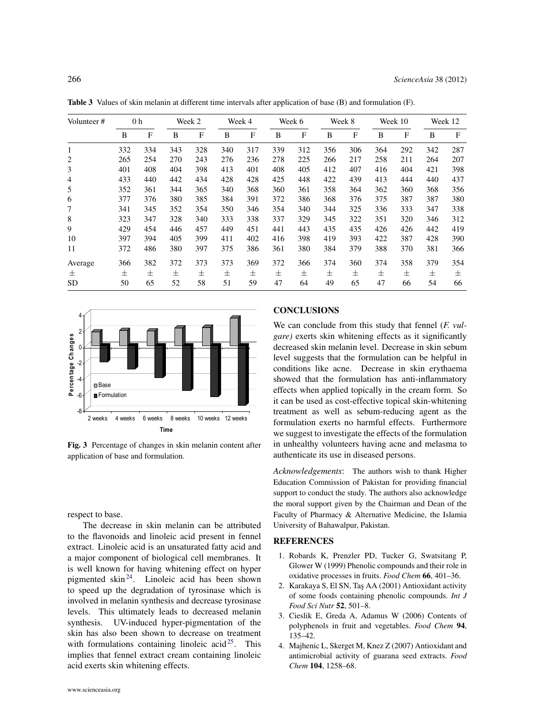| Volunteer# |     | 0 <sub>h</sub> |       | Week 2 |     | Week 4 |     | Week 6       |     | Week 8 |     | Week 10 |     | Week 12 |  |
|------------|-----|----------------|-------|--------|-----|--------|-----|--------------|-----|--------|-----|---------|-----|---------|--|
|            | B   | F              | B     | F      | B   | F      | B   | $\mathbf{F}$ | B   | F      | B   | F       | B   | F       |  |
| 1          | 332 | 334            | 343   | 328    | 340 | 317    | 339 | 312          | 356 | 306    | 364 | 292     | 342 | 287     |  |
| 2          | 265 | 254            | 270   | 243    | 276 | 236    | 278 | 225          | 266 | 217    | 258 | 211     | 264 | 207     |  |
| 3          | 401 | 408            | 404   | 398    | 413 | 401    | 408 | 405          | 412 | 407    | 416 | 404     | 421 | 398     |  |
| 4          | 433 | 440            | 442   | 434    | 428 | 428    | 425 | 448          | 422 | 439    | 413 | 444     | 440 | 437     |  |
| 5          | 352 | 361            | 344   | 365    | 340 | 368    | 360 | 361          | 358 | 364    | 362 | 360     | 368 | 356     |  |
| 6          | 377 | 376            | 380   | 385    | 384 | 391    | 372 | 386          | 368 | 376    | 375 | 387     | 387 | 380     |  |
| 7          | 341 | 345            | 352   | 354    | 350 | 346    | 354 | 340          | 344 | 325    | 336 | 333     | 347 | 338     |  |
| 8          | 323 | 347            | 328   | 340    | 333 | 338    | 337 | 329          | 345 | 322    | 351 | 320     | 346 | 312     |  |
| 9          | 429 | 454            | 446   | 457    | 449 | 451    | 441 | 443          | 435 | 435    | 426 | 426     | 442 | 419     |  |
| 10         | 397 | 394            | 405   | 399    | 411 | 402    | 416 | 398          | 419 | 393    | 422 | 387     | 428 | 390     |  |
| 11         | 372 | 486            | 380   | 397    | 375 | 386    | 361 | 380          | 384 | 379    | 388 | 370     | 381 | 366     |  |
| Average    | 366 | 382            | 372   | 373    | 373 | 369    | 372 | 366          | 374 | 360    | 374 | 358     | 379 | 354     |  |
| 士          | 士   | 士              | $\pm$ | 士      | 士   | 士      | 士   | 士            | 士   | 士      | 士   | $\pm$   | 士   | 士       |  |
| <b>SD</b>  | 50  | 65             | 52    | 58     | 51  | 59     | 47  | 64           | 49  | 65     | 47  | 66      | 54  | 66      |  |

<span id="page-4-5"></span>Table 3 Values of skin melanin at different time intervals after application of base (B) and formulation (F).

<span id="page-4-6"></span>

Fig. 3 Percentage of changes in skin melanin content after application of base and formulation.

respect to base.

The decrease in skin melanin can be attributed to the flavonoids and linoleic acid present in fennel extract. Linoleic acid is an unsaturated fatty acid and a major component of biological cell membranes. It is well known for having whitening effect on hyper pigmented skin<sup>[24](#page-5-19)</sup>. Linoleic acid has been shown to speed up the degradation of tyrosinase which is involved in melanin synthesis and decrease tyrosinase levels. This ultimately leads to decreased melanin synthesis. UV-induced hyper-pigmentation of the skin has also been shown to decrease on treatment with formulations containing linoleic acid<sup>[25](#page-5-20)</sup>. This implies that fennel extract cream containing linoleic acid exerts skin whitening effects.

# **CONCLUSIONS**

We can conclude from this study that fennel (*F. vulgare)* exerts skin whitening effects as it significantly decreased skin melanin level. Decrease in skin sebum level suggests that the formulation can be helpful in conditions like acne. Decrease in skin erythaema showed that the formulation has anti-inflammatory effects when applied topically in the cream form. So it can be used as cost-effective topical skin-whitening treatment as well as sebum-reducing agent as the formulation exerts no harmful effects. Furthermore we suggest to investigate the effects of the formulation in unhealthy volunteers having acne and melasma to authenticate its use in diseased persons.

*Acknowledgements*: The authors wish to thank Higher Education Commission of Pakistan for providing financial support to conduct the study. The authors also acknowledge the moral support given by the Chairman and Dean of the Faculty of Pharmacy & Alternative Medicine, the Islamia University of Bahawalpur, Pakistan.

#### **REFERENCES**

- <span id="page-4-1"></span><span id="page-4-0"></span>1. [Robards K, Prenzler PD, Tucker G, Swatsitang P,](http://dx.doi.org/10.1016/S0308-8146(99)00093-X) [Glower W \(1999\) Phenolic compounds and their role in](http://dx.doi.org/10.1016/S0308-8146(99)00093-X) [oxidative processes in fruits.](http://dx.doi.org/10.1016/S0308-8146(99)00093-X) *Food Chem* 66, 401–36.
- <span id="page-4-2"></span>2. [Karakaya S, El SN, Tas¸ AA \(2001\) Antioxidant activity](http://dx.doi.org/10.1080/09637480020027000-6-6) [of some foods containing phenolic compounds.](http://dx.doi.org/10.1080/09637480020027000-6-6) *Int J [Food Sci Nutr](http://dx.doi.org/10.1080/09637480020027000-6-6)* 52, 501–8.
- <span id="page-4-3"></span>3. [Cieslik E, Greda A, Adamus W \(2006\) Contents of](http://dx.doi.org/10.1016/j.foodchem.2004.11.015) [polyphenols in fruit and vegetables.](http://dx.doi.org/10.1016/j.foodchem.2004.11.015) *Food Chem* 94, [135–42.](http://dx.doi.org/10.1016/j.foodchem.2004.11.015)
- <span id="page-4-4"></span>4. [Majhenic L, Skerget M, Knez Z \(2007\) Antioxidant and](http://dx.doi.org/10.1016/j.foodchem.2007.01.074) [antimicrobial activity of guarana seed extracts.](http://dx.doi.org/10.1016/j.foodchem.2007.01.074) *Food Chem* 104[, 1258–68.](http://dx.doi.org/10.1016/j.foodchem.2007.01.074)